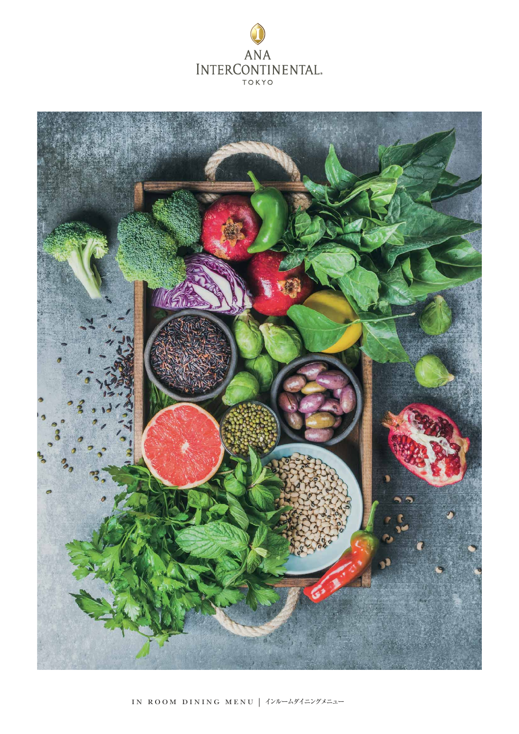

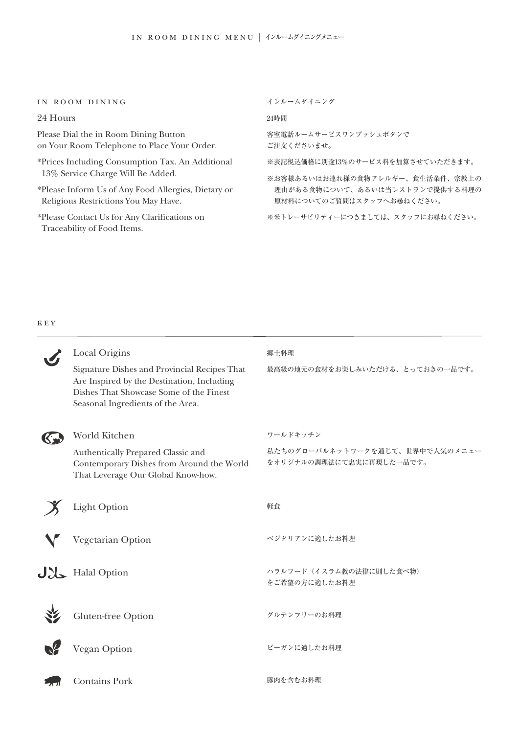# in room dining

24 Hours

Please Dial the in Room Dining Button on Your Room Telephone to Place Your Order.

- \*Prices Including Consumption Tax. An Additional 13% Service Charge Will Be Added.
- \*Please Inform Us of Any Food Allergies, Dietary or Religious Restrictions You May Have.
- \*Please Contact Us for Any Clarifications on Traceability of Food Items.

インルームダイニング

24時間

客室電話ルームサービスワンプッシュボタンで ご注文くださいませ。

※表記税込価格に別途13%のサービス料を加算させていただきます。

※お客様あるいはお連れ様の食物アレルギー、食生活条件、宗教上の 理由がある食物について、あるいは当レストランで提供する料理の 原材料についてのご質問はスタッフへお尋ねください。

※米トレーサビリティーにつきましては、スタッフにお尋ねください。

# key

| Local Origins                                                                                                                                                              | 郷土料理                                                        |  |  |  |
|----------------------------------------------------------------------------------------------------------------------------------------------------------------------------|-------------------------------------------------------------|--|--|--|
| Signature Dishes and Provincial Recipes That<br>Are Inspired by the Destination, Including<br>Dishes That Showcase Some of the Finest<br>Seasonal Ingredients of the Area. | 最高級の地元の食材をお楽しみいただける、とっておきの一品です。                             |  |  |  |
| World Kitchen                                                                                                                                                              | ワールドキッチン                                                    |  |  |  |
| Authentically Prepared Classic and<br>Contemporary Dishes from Around the World<br>That Leverage Our Global Know-how.                                                      | 私たちのグローバルネットワークを通じて、世界中で人気のメニュー<br>をオリジナルの調理法にて忠実に再現した一品です。 |  |  |  |
| <b>Light Option</b>                                                                                                                                                        | 軽食                                                          |  |  |  |
| Vegetarian Option                                                                                                                                                          | ベジタリアンに適したお料理                                               |  |  |  |
| $J$ Halal Option                                                                                                                                                           | ハラルフード (イスラム教の法律に則した食べ物)<br>をご希望の方に適したお料理                   |  |  |  |
| <b>Gluten-free Option</b>                                                                                                                                                  | グルテンフリーのお料理                                                 |  |  |  |
| <b>Vegan Option</b>                                                                                                                                                        | ビーガンに適したお料理                                                 |  |  |  |
| <b>Contains Pork</b>                                                                                                                                                       | 豚肉を含むお料理                                                    |  |  |  |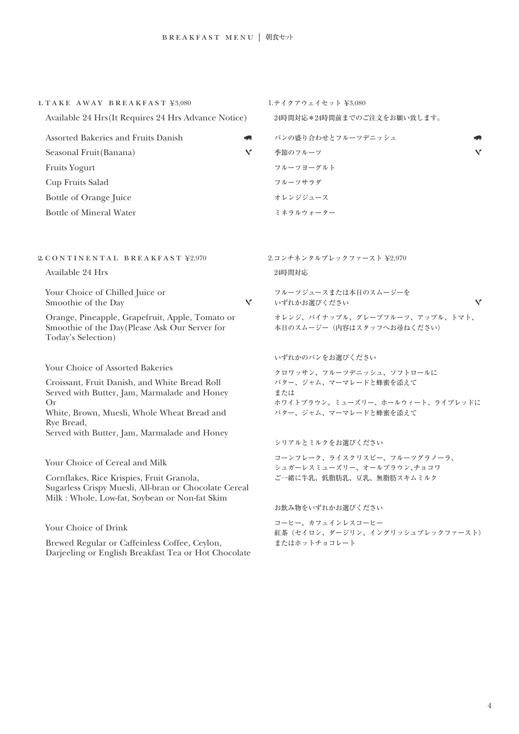| 1. TAKE AWAY BREAKFAST ¥3,080                                                                                                                                                          |   | 1.テイクアウェイセット ¥3,080                                          |   |  |
|----------------------------------------------------------------------------------------------------------------------------------------------------------------------------------------|---|--------------------------------------------------------------|---|--|
| Available 24 Hrs (It Requires 24 Hrs Advance Notice)                                                                                                                                   |   | 24時間対応*24時間前までのご注文をお願い致します。                                  |   |  |
| Assorted Bakeries and Fruits Danish                                                                                                                                                    |   | パンの盛り合わせとフルーツデニッシュ                                           |   |  |
| Seasonal Fruit(Banana)                                                                                                                                                                 | v | 季節のフルーツ                                                      | v |  |
| <b>Fruits Yogurt</b>                                                                                                                                                                   |   | フルーツヨーグルト                                                    |   |  |
| Cup Fruits Salad                                                                                                                                                                       |   | フルーツサラダ                                                      |   |  |
| Bottle of Orange Juice                                                                                                                                                                 |   | オレンジジュース                                                     |   |  |
| <b>Bottle of Mineral Water</b>                                                                                                                                                         |   | ミネラルウォーター                                                    |   |  |
| 2. CONTINENTAL BREAKFAST ¥2,970                                                                                                                                                        |   | 2.コンチネンタルブレックファースト ¥2,970                                    |   |  |
| Available 24 Hrs                                                                                                                                                                       |   | 24時間対応                                                       |   |  |
| Your Choice of Chilled Juice or<br>Smoothie of the Day                                                                                                                                 | Y | フルーツジュースまたは本日のスムージーを<br>いずれかお選びください                          | v |  |
| Orange, Pineapple, Grapefruit, Apple, Tomato or<br>Smoothie of the Day(Please Ask Our Server for<br>Today's Selection)                                                                 |   | オレンジ、パイナップル、グレープフルーツ、アップル、トマト、<br>本日のスムージー (内容はスタッフへお尋ねください) |   |  |
|                                                                                                                                                                                        |   | いずれかのパンをお選びください                                              |   |  |
| Your Choice of Assorted Bakeries                                                                                                                                                       |   | クロワッサン、フルーツデニッシュ、ソフトロールに                                     |   |  |
| Croissant, Fruit Danish, and White Bread Roll<br>Served with Butter, Jam, Marmalade and Honey                                                                                          |   | バター、ジャム、マーマレードと蜂蜜を添えて<br>または                                 |   |  |
| Or                                                                                                                                                                                     |   | ホワイトブラウン、ミューズリー、ホールウィート、ライブレッドに                              |   |  |
| White, Brown, Muesli, Whole Wheat Bread and<br>Rye Bread,                                                                                                                              |   | バター、ジャム、マーマレードと蜂蜜を添えて                                        |   |  |
| Served with Butter, Jam, Marmalade and Honey                                                                                                                                           |   |                                                              |   |  |
|                                                                                                                                                                                        |   | シリアルとミルクをお選びください                                             |   |  |
| Your Choice of Cereal and Milk<br>Cornflakes, Rice Krispies, Fruit Granola,<br>Sugarless Crispy Muesli, All-bran or Chocolate Cereal<br>Milk : Whole, Low-fat, Soybean or Non-fat Skim |   | コーンフレーク、ライスクリスピー、フルーツグラノーラ、<br>シュガーレスミューズリー、オールブラウン、チョコワ     |   |  |
|                                                                                                                                                                                        |   | ご一緒に牛乳、低脂肪乳、豆乳、無脂肪スキムミルク                                     |   |  |
|                                                                                                                                                                                        |   | お飲み物をいずれかお選びください                                             |   |  |
| Your Choice of Drink<br>Brewed Regular or Caffeinless Coffee, Ceylon,                                                                                                                  |   | コーヒー、カフェインレスコーヒー<br>紅茶(セイロン、ダージリン、イングリッシュブレックファースト)          |   |  |
|                                                                                                                                                                                        |   | またはホットチョコレート                                                 |   |  |

Darjeeling or English Breakfast Tea or Hot Chocolate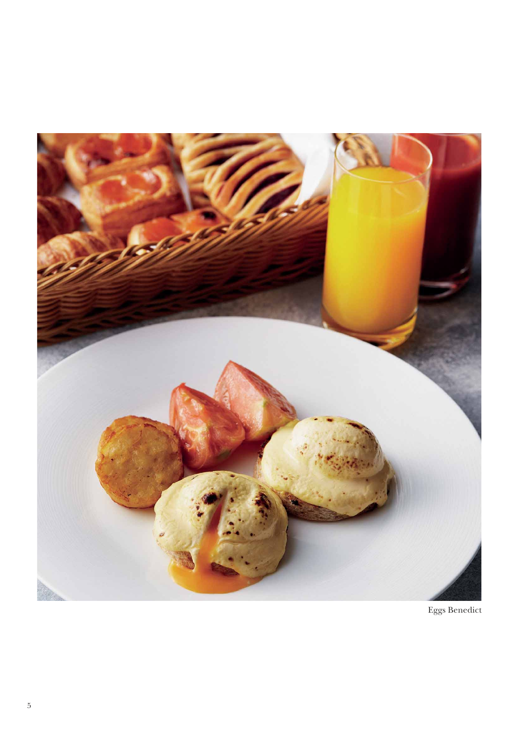

Eggs Benedict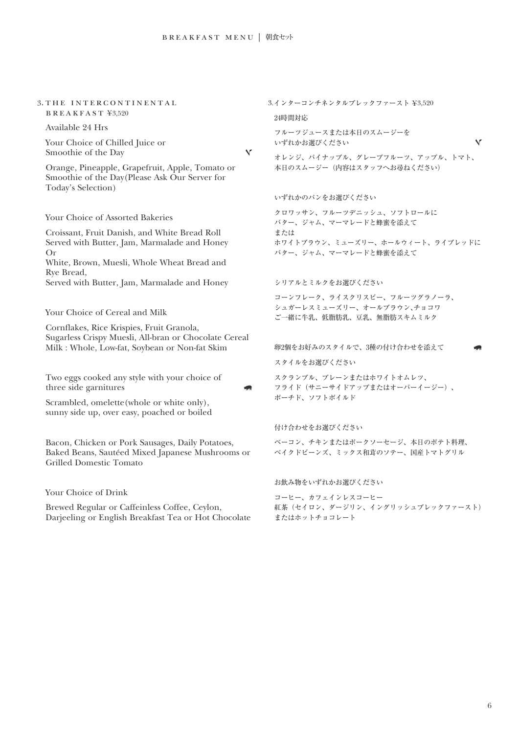# 3. THE INTERCONTINENTAL  $B$ REAKFAST ¥3,520

Available 24 Hrs

Your Choice of Chilled Juice or Smoothie of the Day

 $\checkmark$ 

Orange, Pineapple, Grapefruit, Apple, Tomato or Smoothie of the Day(Please Ask Our Server for Today's Selection)

Your Choice of Assorted Bakeries

Croissant, Fruit Danish, and White Bread Roll Served with Butter, Jam, Marmalade and Honey Or

White, Brown, Muesli, Whole Wheat Bread and Rye Bread,

Served with Butter, Jam, Marmalade and Honey

Your Choice of Cereal and Milk

Cornflakes, Rice Krispies, Fruit Granola, Sugarless Crispy Muesli, All-bran or Chocolate Cereal Milk : Whole, Low-fat, Soybean or Non-fat Skim

Two eggs cooked any style with your choice of three side garnitures

Scrambled, omelette(whole or white only), sunny side up, over easy, poached or boiled

Bacon, Chicken or Pork Sausages, Daily Potatoes, Baked Beans, Sautéed Mixed Japanese Mushrooms or Grilled Domestic Tomato

Your Choice of Drink

Brewed Regular or Caffeinless Coffee, Ceylon, Darjeeling or English Breakfast Tea or Hot Chocolate 3.インターコンチネンタルブレックファースト ¥3,520

#### 24時間対応

フルーツジュースまたは本日のスムージーを いずれかお選びください

オレンジ、パイナップル、グレープフルーツ、アップル、トマト、 本日のスムージー(内容はスタッフへお尋ねください)

M

いずれかのパンをお選びください

クロワッサン、フルーツデニッシュ、ソフトロールに バター、ジャム、マーマレードと蜂蜜を添えて または ホワイトブラウン、ミューズリー、ホールウィート、ライブレッドに バター、ジャム、マーマレードと蜂蜜を添えて

#### シリアルとミルクをお選びください

コーンフレーク、ライスクリスピー、フルーツグラノーラ、 シュガーレスミューズリー、オールブラウン、チョコワ ご一緒に牛乳、低脂肪乳、豆乳、無脂肪スキムミルク

卵2個をお好みのスタイルで、3種の付け合わせを添えて

スタイルをお選びください

スクランブル、プレーンまたはホワイトオムレツ、 フライド(サニーサイドアップまたはオーバーイージー)、 ポーチド、ソフトボイルド

付け合わせをお選びください

ベーコン、チキンまたはポークソーセージ、本日のポテト料理、 ベイクドビーンズ、ミックス和茸のソテー、国産トマトグリル

お飲み物をいずれかお選びください

コーヒー、カフェインレスコーヒー 紅茶(セイロン、ダージリン、イングリッシュブレックファースト) またはホットチョコレート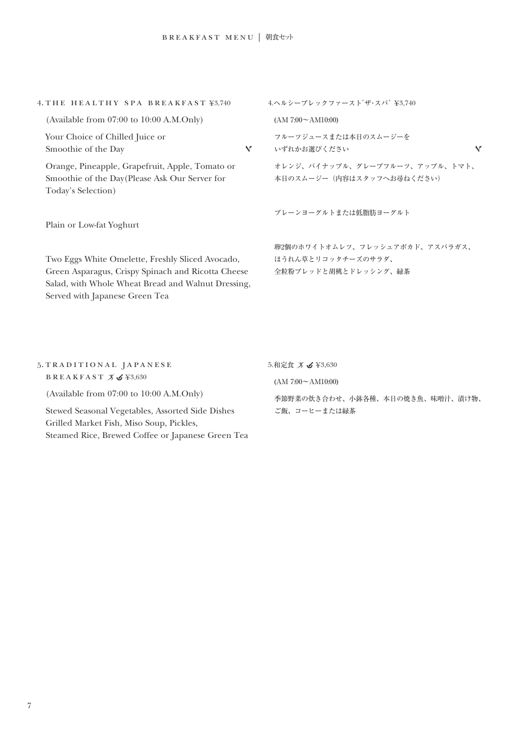| 4. THE HEALTHY SPA BREAKFAST ¥3.740                                                                                                                                                            | 4.ヘルシーブレックファースト'ザ·スパ' ¥3,740                                                 |  |  |
|------------------------------------------------------------------------------------------------------------------------------------------------------------------------------------------------|------------------------------------------------------------------------------|--|--|
| (Available from 07:00 to 10:00 A.M.Only)                                                                                                                                                       | $(AM 7:00 \sim AM10:00)$                                                     |  |  |
| Your Choice of Chilled Juice or<br>Smoothie of the Day<br>N.                                                                                                                                   | フルーツジュースまたは本日のスムージーを<br>$\sqrt{}$<br>いずれかお選びください                             |  |  |
| Orange, Pineapple, Grapefruit, Apple, Tomato or<br>Smoothie of the Day(Please Ask Our Server for<br>Today's Selection)                                                                         | オレンジ、パイナップル、グレープフルーツ、アップル、トマト、<br>本日のスムージー(内容はスタッフへお尋ねください)                  |  |  |
| Plain or Low-fat Yoghurt                                                                                                                                                                       | プレーンヨーグルトまたは低脂肪ヨーグルト                                                         |  |  |
| Two Eggs White Omelette, Freshly Sliced Avocado,<br>Green Asparagus, Crispy Spinach and Ricotta Cheese<br>Salad, with Whole Wheat Bread and Walnut Dressing,<br>Served with Japanese Green Tea | 卵2個のホワイトオムレツ、フレッシュアボカド、アスパラガス、<br>ほうれん草とリコッタチーズのサラダ、<br>全粒粉ブレッドと胡桃とドレッシング、緑茶 |  |  |
| 5. TRADITIONAL JAPANESE<br>BREAKFAST $X \times 3,630$                                                                                                                                          | 5.和定食 ズ <b>S</b> ¥3,630<br>$(AM 7:00 \sim AM10:00)$                          |  |  |

(Available from 07:00 to 10:00 A.M.Only)

Stewed Seasonal Vegetables, Assorted Side Dishes Grilled Market Fish, Miso Soup, Pickles, Steamed Rice, Brewed Coffee or Japanese Green Tea 季節野菜の炊き合わせ、小鉢各種、本日の焼き魚、味噌汁、漬け物、 ご飯、コーヒーまたは緑茶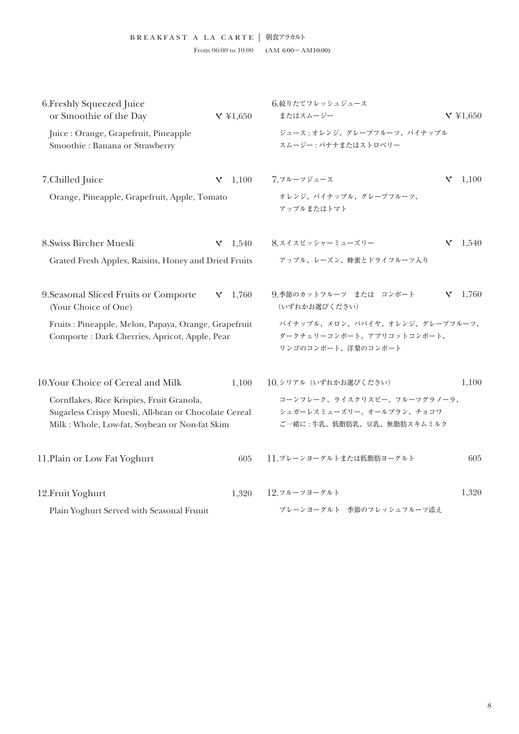| 6. Freshly Squeezed Juice<br>or Smoothie of the Day                                                                                                  | $V \; \text{\&} 1,650$ | 6.絞りたてフレッシュジュース<br>またはスムージー                                                          | $Y \not\equiv 1,650$ |  |  |  |
|------------------------------------------------------------------------------------------------------------------------------------------------------|------------------------|--------------------------------------------------------------------------------------|----------------------|--|--|--|
| Juice : Orange, Grapefruit, Pineapple<br>Smoothie: Banana or Strawberry                                                                              |                        | ジュース:オレンジ、グレープフルーツ、パイナップル<br>スムージー:バナナまたはストロベリー                                      |                      |  |  |  |
| 7. Chilled Juice                                                                                                                                     | $V = 1,100$            | 7.フルーツジュース                                                                           | 1,100<br>Y           |  |  |  |
| Orange, Pineapple, Grapefruit, Apple, Tomato                                                                                                         |                        | オレンジ、パイナップル、グレープフルーツ、<br>アップルまたはトマト                                                  |                      |  |  |  |
| 8. Swiss Bircher Muesli                                                                                                                              | $V = 1,540$            | 8.スイスビッシャーミューズリー                                                                     | v<br>1,540           |  |  |  |
| Grated Fresh Apples, Raisins, Honey and Dried Fruits                                                                                                 |                        | アップル、レーズン、蜂蜜とドライフルーツ入り                                                               |                      |  |  |  |
| 9. Seasonal Sliced Fruits or Comporte<br>(Your Choice of One)                                                                                        | $V = 1,760$            | 9.季節のカットフルーツ または コンポート<br>(いずれかお選びください)                                              | $Y = 1,760$          |  |  |  |
| Fruits: Pineapple, Melon, Papaya, Orange, Grapefruit<br>Comporte : Dark Cherries, Apricot, Apple, Pear                                               |                        | パイナップル、メロン、パパイヤ、オレンジ、グレープフルーツ、<br>ダークチェリーコンポート、アプリコットコンポート、<br>リンゴのコンポート、洋梨のコンポート    |                      |  |  |  |
| 10.Your Choice of Cereal and Milk                                                                                                                    | 1,100                  | 10.シリアル (いずれかお選びください)                                                                | 1,100                |  |  |  |
| Cornflakes, Rice Krispies, Fruit Granola,<br>Sugarless Crispy Muesli, All-bran or Chocolate Cereal<br>Milk : Whole, Low-fat, Soybean or Non-fat Skim |                        | コーンフレーク、ライスクリスピー、フルーツグラノーラ、<br>シュガーレスミューズリー、オールブラン、チョコワ<br>ご一緒に:牛乳、低脂肪乳、豆乳、無脂肪スキムミルク |                      |  |  |  |
| 11. Plain or Low Fat Yoghurt                                                                                                                         | 605                    | 11.プレーンヨーグルトまたは低脂肪ヨーグルト                                                              | 605                  |  |  |  |
| 12. Fruit Yoghurt                                                                                                                                    | 1,320                  | 12.フルーツヨーグルト                                                                         | 1,320                |  |  |  |
| Plain Yoghurt Served with Seasonal Fruuit                                                                                                            |                        | プレーンヨーグルト 季節のフレッシュフルーツ添え                                                             |                      |  |  |  |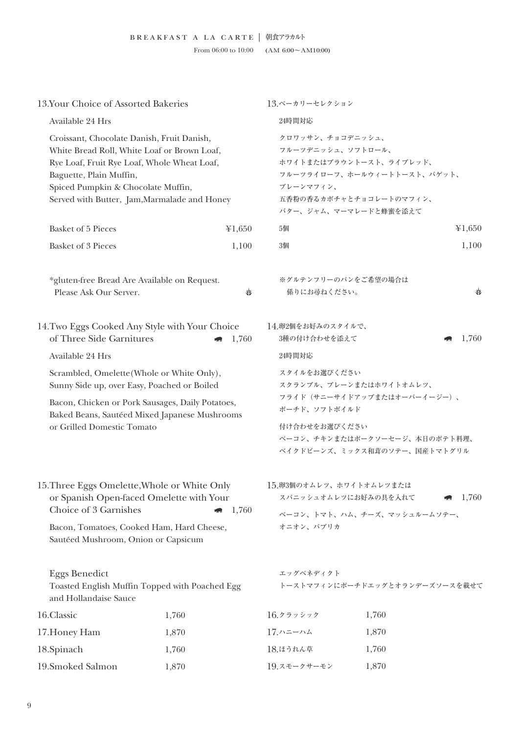From 06:00 to 10:00 (AM 6:00 $\sim$ AM10:00)

| 13.Your Choice of Assorted Bakeries                                                                                                                                                                                                                                                                               |                                                                                                   | 13.ベーカリーセレクション                                                                                                                                                            |        |  |
|-------------------------------------------------------------------------------------------------------------------------------------------------------------------------------------------------------------------------------------------------------------------------------------------------------------------|---------------------------------------------------------------------------------------------------|---------------------------------------------------------------------------------------------------------------------------------------------------------------------------|--------|--|
| Available 24 Hrs                                                                                                                                                                                                                                                                                                  |                                                                                                   | 24時間対応                                                                                                                                                                    |        |  |
| Croissant, Chocolate Danish, Fruit Danish,<br>White Bread Roll, White Loaf or Brown Loaf,<br>Rye Loaf, Fruit Rye Loaf, Whole Wheat Loaf,<br>Baguette, Plain Muffin,<br>Spiced Pumpkin & Chocolate Muffin,<br>Served with Butter, Jam, Marmalade and Honey                                                         |                                                                                                   | クロワッサン、チョコデニッシュ、<br>フルーツデニッシュ、ソフトロール、<br>ホワイトまたはブラウントースト、ライブレッド、<br>フルーツライローフ、ホールウィートトースト、バゲット、<br>プレーンマフィン、<br>五香粉の香るカボチャとチョコレートのマフィン、<br>バター、ジャム、マーマレードと蜂蜜を添えて          |        |  |
| <b>Basket of 5 Pieces</b>                                                                                                                                                                                                                                                                                         | ¥1,650                                                                                            | 5個                                                                                                                                                                        | ¥1,650 |  |
| <b>Basket of 3 Pieces</b>                                                                                                                                                                                                                                                                                         | 1,100                                                                                             | 3個                                                                                                                                                                        | 1,100  |  |
| *gluten-free Bread Are Available on Request.<br>Please Ask Our Server.                                                                                                                                                                                                                                            | \$ź                                                                                               | ※グルテンフリーのパンをご希望の場合は<br>係りにお尋ねください。                                                                                                                                        | ∛∕     |  |
| of Three Side Garnitures                                                                                                                                                                                                                                                                                          | 14. Two Eggs Cooked Any Style with Your Choice<br>1,760                                           | 14.卵2個をお好みのスタイルで、<br>3種の付け合わせを添えて                                                                                                                                         | 1,760  |  |
| Available 24 Hrs                                                                                                                                                                                                                                                                                                  |                                                                                                   | 24時間対応                                                                                                                                                                    |        |  |
| Scrambled, Omelette (Whole or White Only),<br>Sunny Side up, over Easy, Poached or Boiled<br>or Grilled Domestic Tomato                                                                                                                                                                                           | Bacon, Chicken or Pork Sausages, Daily Potatoes,<br>Baked Beans, Sautéed Mixed Japanese Mushrooms | スタイルをお選びください<br>スクランブル、プレーンまたはホワイトオムレツ、<br>フライド (サニーサイドアップまたはオーバーイージー)、<br>ポーチド、ソフトボイルド<br>付け合わせをお選びください<br>ベーコン、チキンまたはポークソーセージ、本日のポテト料理、<br>ベイクドビーンズ、ミックス和茸のソテー、国産トマトグリル |        |  |
| 15. Three Eggs Omelette, Whole or White Only<br>or Spanish Open-faced Omelette with Your<br>Choice of 3 Garnishes<br>1,760<br>Bacon, Tomatoes, Cooked Ham, Hard Cheese,<br>Sautéed Mushroom, Onion or Capsicum<br><b>Eggs Benedict</b><br>Toasted English Muffin Topped with Poached Egg<br>and Hollandaise Sauce |                                                                                                   | 15.卵3個のオムレツ、ホワイトオムレツまたは<br>スパニッシュオムレツにお好みの具を入れて<br>$\blacksquare$ 1,760<br>ベーコン、トマト、ハム、チーズ、マッシュルームソテー、<br>オニオン、パプリカ<br>エッグベネディクト<br>トーストマフィンにポーチドエッグとオランデーズソースを載せて        |        |  |
|                                                                                                                                                                                                                                                                                                                   |                                                                                                   |                                                                                                                                                                           |        |  |
| 17. Honey Ham                                                                                                                                                                                                                                                                                                     | 1,870                                                                                             | 17.ハニーハム                                                                                                                                                                  | 1,870  |  |
| 18.Spinach                                                                                                                                                                                                                                                                                                        | 1,760                                                                                             | 18.ほうれん草                                                                                                                                                                  | 1,760  |  |
| 19.Smoked Salmon                                                                                                                                                                                                                                                                                                  | 1,870                                                                                             | 19.スモークサーモン                                                                                                                                                               | 1,870  |  |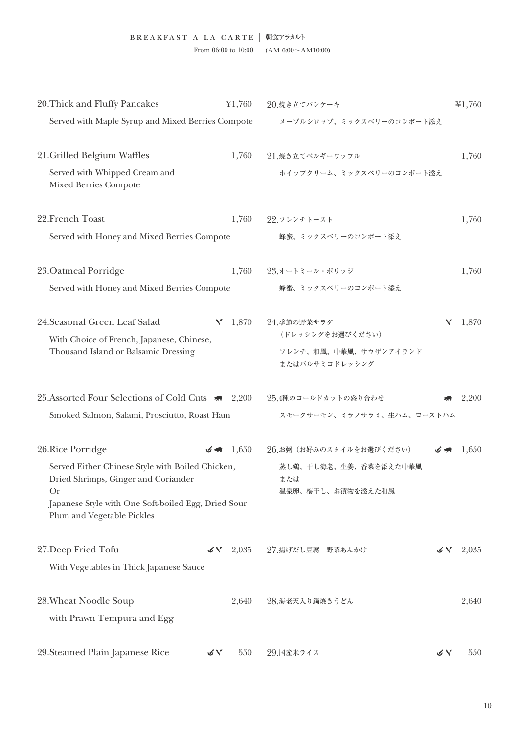| 20. Thick and Fluffy Pancakes                                                                                      |    | ¥1,760      | 20.焼き立てパンケーキ                                      |    | ¥1,760 |
|--------------------------------------------------------------------------------------------------------------------|----|-------------|---------------------------------------------------|----|--------|
| Served with Maple Syrup and Mixed Berries Compote                                                                  |    |             | メープルシロップ、ミックスベリーのコンポート添え                          |    |        |
| 21. Grilled Belgium Waffles                                                                                        |    | 1,760       | 21.焼き立てベルギーワッフル                                   |    | 1,760  |
| Served with Whipped Cream and<br><b>Mixed Berries Compote</b>                                                      |    |             | ホイップクリーム、ミックスベリーのコンポート添え                          |    |        |
| 22. French Toast                                                                                                   |    | 1,760       | 22.フレンチトースト                                       |    | 1,760  |
| Served with Honey and Mixed Berries Compote                                                                        |    |             | 蜂蜜、ミックスベリーのコンポート添え                                |    |        |
| 23. Oatmeal Porridge                                                                                               |    | 1,760       | 23.オートミール・ポリッジ                                    |    | 1,760  |
| Served with Honey and Mixed Berries Compote                                                                        |    |             | 蜂蜜、ミックスベリーのコンポート添え                                |    |        |
| 24. Seasonal Green Leaf Salad<br>With Choice of French, Japanese, Chinese,<br>Thousand Island or Balsamic Dressing |    | $V = 1,870$ | 24.季節の野菜サラダ<br>(ドレッシングをお選びください)                   | Y  | 1,870  |
|                                                                                                                    |    |             | フレンチ、和風、中華風、サウザンアイランド<br>またはバルサミコドレッシング           |    |        |
| 25. Assorted Four Selections of Cold Cuts 4 2,200                                                                  |    |             | 25.4種のコールドカットの盛り合わせ                               |    | 2,200  |
| Smoked Salmon, Salami, Prosciutto, Roast Ham                                                                       |    |             | スモークサーモン、ミラノサラミ、生ハム、ローストハム                        |    |        |
| 26. Rice Porridge                                                                                                  |    | $3 - 1,650$ | 26.お粥 (お好みのスタイルをお選びください)                          | 万丽 | 1,650  |
| Served Either Chinese Style with Boiled Chicken,<br>Dried Shrimps, Ginger and Coriander<br>Or                      |    |             | 蒸し鶏、干し海老、生姜、香菜を添えた中華風<br>または<br>温泉卵、梅干し、お漬物を添えた和風 |    |        |
| Japanese Style with One Soft-boiled Egg, Dried Sour<br>Plum and Vegetable Pickles                                  |    |             |                                                   |    |        |
| 27. Deep Fried Tofu                                                                                                | びん | 2,035       | 27.揚げだし豆腐 野菜あんかけ                                  | びん | 2,035  |
| With Vegetables in Thick Japanese Sauce                                                                            |    |             |                                                   |    |        |
| 28. Wheat Noodle Soup<br>with Prawn Tempura and Egg                                                                |    | 2,640       | 28.海老天入り鍋焼きうどん                                    |    | 2,640  |
| 29. Steamed Plain Japanese Rice                                                                                    | びん | 550         | 29. 国産米ライス                                        | びん | 550    |